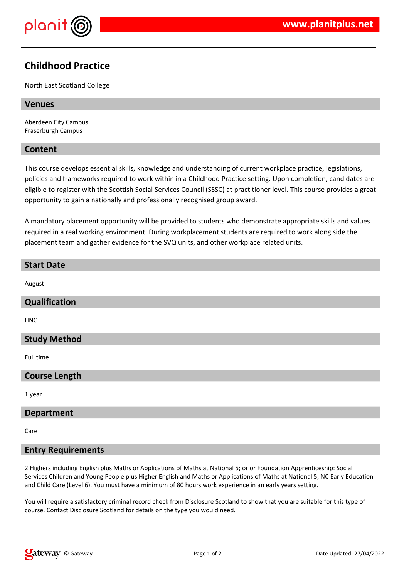

## **Childhood Practice**

North East Scotland College

#### **Venues**

Aberdeen City Campus Fraserburgh Campus

#### **Content**

This course develops essential skills, knowledge and understanding of current workplace practice, legislations, policies and frameworks required to work within in a Childhood Practice setting. Upon completion, candidates are eligible to register with the Scottish Social Services Council (SSSC) at practitioner level. This course provides a great opportunity to gain a nationally and professionally recognised group award.

A mandatory placement opportunity will be provided to students who demonstrate appropriate skills and values required in a real working environment. During workplacement students are required to work along side the placement team and gather evidence for the SVQ units, and other workplace related units.

# **Start Date** August **Qualification** HNC **Study Method** Full time **Course Length** 1 year **Department**

Care

#### **Entry Requirements**

2 Highers including English plus Maths or Applications of Maths at National 5; or or Foundation Apprenticeship: Social Services Children and Young People plus Higher English and Maths or Applications of Maths at National 5; NC Early Education and Child Care (Level 6). You must have a minimum of 80 hours work experience in an early years setting.

You will require a satisfactory criminal record check from Disclosure Scotland to show that you are suitable for this type of course. Contact Disclosure Scotland for details on the type you would need.